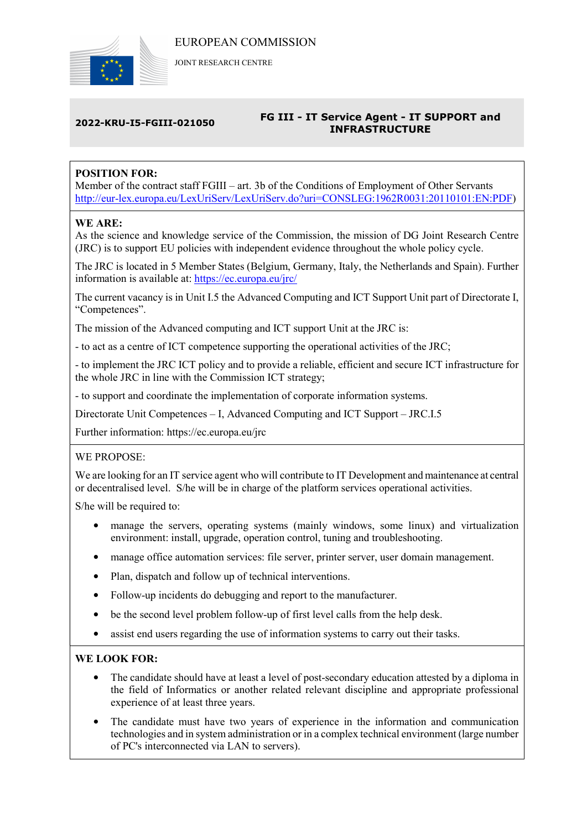

JOINT RESEARCH CENTRE

## 2022-KRU-I5-FGIII-021050 FG III - IT Service Agent - IT SUPPORT and INFRASTRUCTURE

## POSITION FOR:

Member of the contract staff FGIII – art. 3b of the Conditions of Employment of Other Servants http://eur-lex.europa.eu/LexUriServ/LexUriServ.do?uri=CONSLEG:1962R0031:20110101:EN:PDF)

## WE ARE:

As the science and knowledge service of the Commission, the mission of DG Joint Research Centre (JRC) is to support EU policies with independent evidence throughout the whole policy cycle.

The JRC is located in 5 Member States (Belgium, Germany, Italy, the Netherlands and Spain). Further information is available at: https://ec.europa.eu/jrc/

The current vacancy is in Unit I.5 the Advanced Computing and ICT Support Unit part of Directorate I, "Competences".

The mission of the Advanced computing and ICT support Unit at the JRC is:

- to act as a centre of ICT competence supporting the operational activities of the JRC;

- to implement the JRC ICT policy and to provide a reliable, efficient and secure ICT infrastructure for the whole JRC in line with the Commission ICT strategy;

- to support and coordinate the implementation of corporate information systems.

Directorate Unit Competences – I, Advanced Computing and ICT Support – JRC.I.5

Further information: https://ec.europa.eu/jrc

### WE PROPOSE:

We are looking for an IT service agent who will contribute to IT Development and maintenance at central or decentralised level. S/he will be in charge of the platform services operational activities.

S/he will be required to:

- manage the servers, operating systems (mainly windows, some linux) and virtualization environment: install, upgrade, operation control, tuning and troubleshooting.
- manage office automation services: file server, printer server, user domain management.
- Plan, dispatch and follow up of technical interventions.
- Follow-up incidents do debugging and report to the manufacturer.
- be the second level problem follow-up of first level calls from the help desk.
- assist end users regarding the use of information systems to carry out their tasks.

### WE LOOK FOR:

- The candidate should have at least a level of post-secondary education attested by a diploma in the field of Informatics or another related relevant discipline and appropriate professional experience of at least three years.
- The candidate must have two years of experience in the information and communication technologies and in system administration or in a complex technical environment (large number of PC's interconnected via LAN to servers).